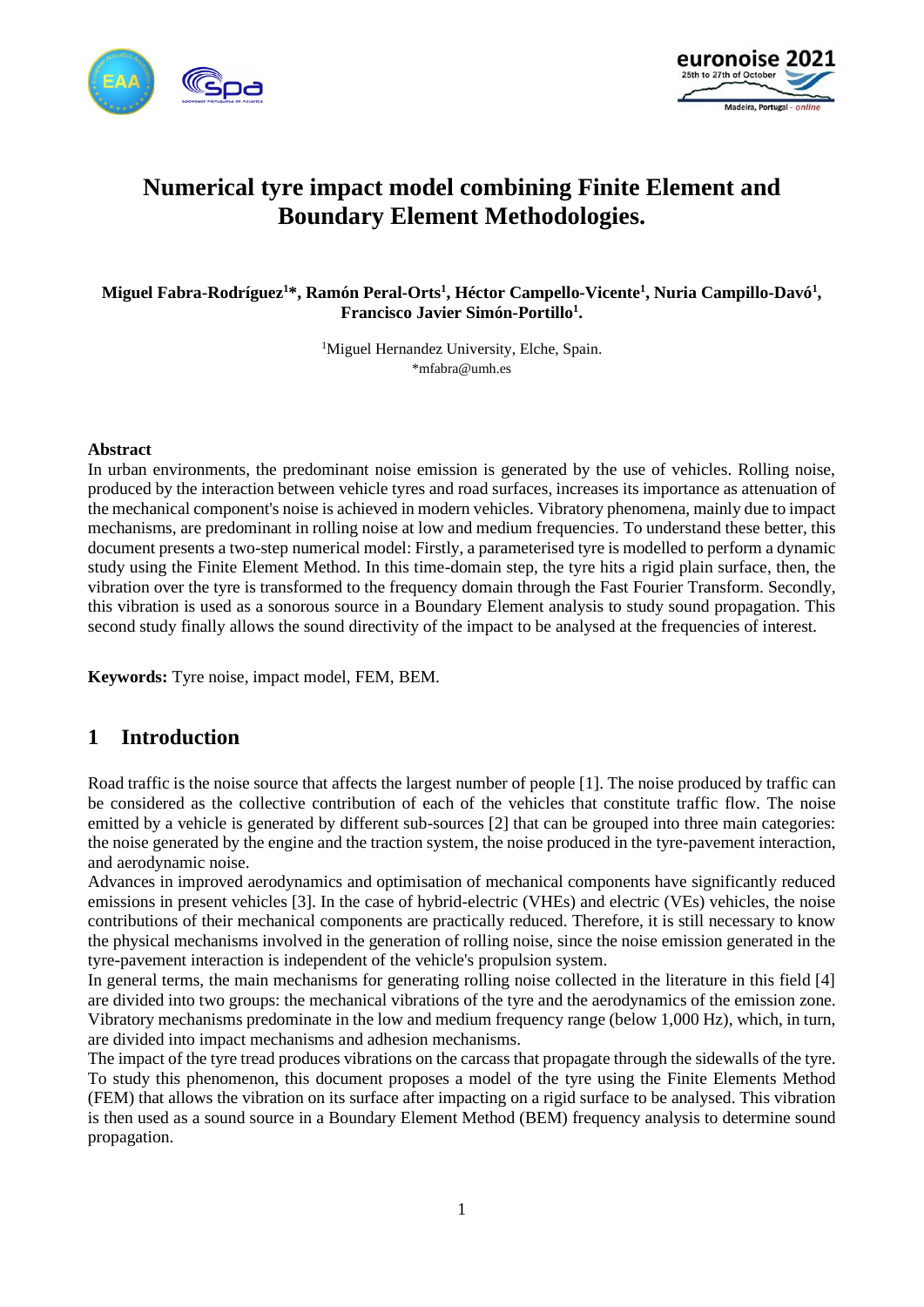



# **Numerical tyre impact model combining Finite Element and Boundary Element Methodologies.**

**Miguel Fabra-Rodríguez<sup>1</sup>\*, Ramón Peral-Orts<sup>1</sup> , Héctor Campello-Vicente<sup>1</sup> , Nuria Campillo-Davó<sup>1</sup> , Francisco Javier Simón-Portillo<sup>1</sup> .**

> <sup>1</sup>Miguel Hernandez University, Elche, Spain. \*mfabra@umh.es

#### **Abstract**

In urban environments, the predominant noise emission is generated by the use of vehicles. Rolling noise, produced by the interaction between vehicle tyres and road surfaces, increases its importance as attenuation of the mechanical component's noise is achieved in modern vehicles. Vibratory phenomena, mainly due to impact mechanisms, are predominant in rolling noise at low and medium frequencies. To understand these better, this document presents a two-step numerical model: Firstly, a parameterised tyre is modelled to perform a dynamic study using the Finite Element Method. In this time-domain step, the tyre hits a rigid plain surface, then, the vibration over the tyre is transformed to the frequency domain through the Fast Fourier Transform. Secondly, this vibration is used as a sonorous source in a Boundary Element analysis to study sound propagation. This second study finally allows the sound directivity of the impact to be analysed at the frequencies of interest*.*

**Keywords:** Tyre noise, impact model, FEM, BEM.

## **1 Introduction**

Road traffic is the noise source that affects the largest number of people [1]. The noise produced by traffic can be considered as the collective contribution of each of the vehicles that constitute traffic flow. The noise emitted by a vehicle is generated by different sub-sources [2] that can be grouped into three main categories: the noise generated by the engine and the traction system, the noise produced in the tyre-pavement interaction, and aerodynamic noise.

Advances in improved aerodynamics and optimisation of mechanical components have significantly reduced emissions in present vehicles [3]. In the case of hybrid-electric (VHEs) and electric (VEs) vehicles, the noise contributions of their mechanical components are practically reduced. Therefore, it is still necessary to know the physical mechanisms involved in the generation of rolling noise, since the noise emission generated in the tyre-pavement interaction is independent of the vehicle's propulsion system.

In general terms, the main mechanisms for generating rolling noise collected in the literature in this field [4] are divided into two groups: the mechanical vibrations of the tyre and the aerodynamics of the emission zone. Vibratory mechanisms predominate in the low and medium frequency range (below 1,000 Hz), which, in turn, are divided into impact mechanisms and adhesion mechanisms.

The impact of the tyre tread produces vibrations on the carcass that propagate through the sidewalls of the tyre. To study this phenomenon, this document proposes a model of the tyre using the Finite Elements Method (FEM) that allows the vibration on its surface after impacting on a rigid surface to be analysed. This vibration is then used as a sound source in a Boundary Element Method (BEM) frequency analysis to determine sound propagation.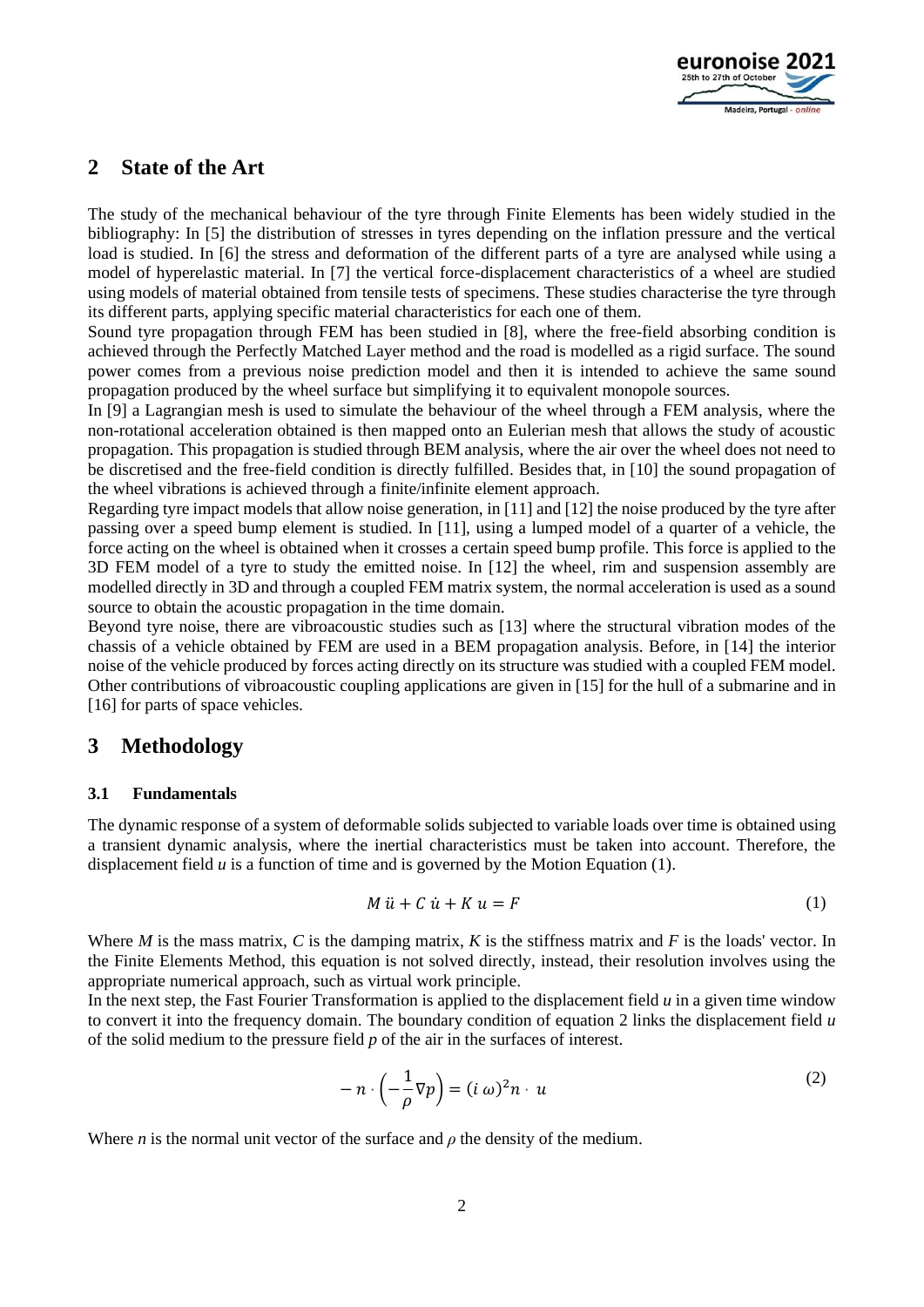

### **2 State of the Art**

The study of the mechanical behaviour of the tyre through Finite Elements has been widely studied in the bibliography: In [5] the distribution of stresses in tyres depending on the inflation pressure and the vertical load is studied. In [6] the stress and deformation of the different parts of a tyre are analysed while using a model of hyperelastic material. In [7] the vertical force-displacement characteristics of a wheel are studied using models of material obtained from tensile tests of specimens. These studies characterise the tyre through its different parts, applying specific material characteristics for each one of them.

Sound tyre propagation through FEM has been studied in [8], where the free-field absorbing condition is achieved through the Perfectly Matched Layer method and the road is modelled as a rigid surface. The sound power comes from a previous noise prediction model and then it is intended to achieve the same sound propagation produced by the wheel surface but simplifying it to equivalent monopole sources.

In [9] a Lagrangian mesh is used to simulate the behaviour of the wheel through a FEM analysis, where the non-rotational acceleration obtained is then mapped onto an Eulerian mesh that allows the study of acoustic propagation. This propagation is studied through BEM analysis, where the air over the wheel does not need to be discretised and the free-field condition is directly fulfilled. Besides that, in [10] the sound propagation of the wheel vibrations is achieved through a finite/infinite element approach.

Regarding tyre impact models that allow noise generation, in [11] and [12] the noise produced by the tyre after passing over a speed bump element is studied. In [11], using a lumped model of a quarter of a vehicle, the force acting on the wheel is obtained when it crosses a certain speed bump profile. This force is applied to the 3D FEM model of a tyre to study the emitted noise. In [12] the wheel, rim and suspension assembly are modelled directly in 3D and through a coupled FEM matrix system, the normal acceleration is used as a sound source to obtain the acoustic propagation in the time domain.

Beyond tyre noise, there are vibroacoustic studies such as [13] where the structural vibration modes of the chassis of a vehicle obtained by FEM are used in a BEM propagation analysis. Before, in [14] the interior noise of the vehicle produced by forces acting directly on its structure was studied with a coupled FEM model. Other contributions of vibroacoustic coupling applications are given in [15] for the hull of a submarine and in [16] for parts of space vehicles.

### **3 Methodology**

#### **3.1 Fundamentals**

The dynamic response of a system of deformable solids subjected to variable loads over time is obtained using a transient dynamic analysis, where the inertial characteristics must be taken into account. Therefore, the displacement field *u* is a function of time and is governed by the Motion Equation (1).

$$
M\ddot{u} + C\dot{u} + K\dot{u} = F\tag{1}
$$

Where *M* is the mass matrix, *C* is the damping matrix, *K* is the stiffness matrix and *F* is the loads' vector. In the Finite Elements Method, this equation is not solved directly, instead, their resolution involves using the appropriate numerical approach, such as virtual work principle.

In the next step, the Fast Fourier Transformation is applied to the displacement field *u* in a given time window to convert it into the frequency domain. The boundary condition of equation 2 links the displacement field *u* of the solid medium to the pressure field *p* of the air in the surfaces of interest.

$$
- n \cdot \left( -\frac{1}{\rho} \nabla p \right) = (i \, \omega)^2 n \cdot u \tag{2}
$$

Where *n* is the normal unit vector of the surface and  $\rho$  the density of the medium.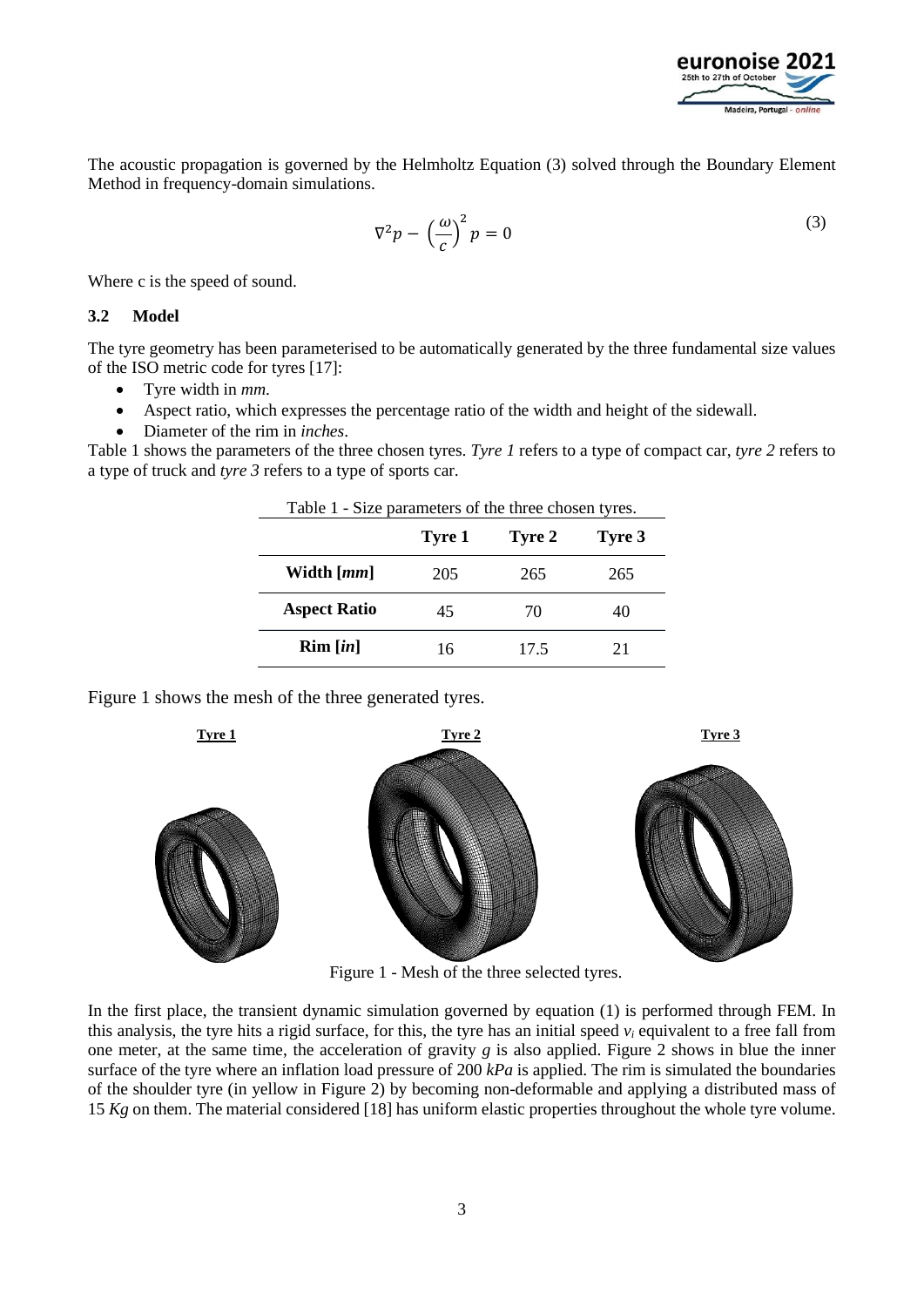

The acoustic propagation is governed by the Helmholtz Equation (3) solved through the Boundary Element Method in frequency-domain simulations.

$$
\nabla^2 p - \left(\frac{\omega}{c}\right)^2 p = 0 \tag{3}
$$

Where c is the speed of sound.

#### **3.2 Model**

The tyre geometry has been parameterised to be automatically generated by the three fundamental size values of the ISO metric code for tyres [17]:

- Tyre width in *mm*.
- Aspect ratio, which expresses the percentage ratio of the width and height of the sidewall.
- Diameter of the rim in *inches*.

Table 1 shows the parameters of the three chosen tyres. *Tyre 1* refers to a type of compact car, *tyre 2* refers to a type of truck and *tyre 3* refers to a type of sports car.

Table 1 - Size parameters of the three chosen tyres.

|                                    | Tyre 1 | Tyre 2 | Tyre 3 |
|------------------------------------|--------|--------|--------|
| Width $\lceil mm \rceil$           | 205    | 265    | 265    |
| <b>Aspect Ratio</b>                | 45     | 70     | 40     |
| $\text{Rim}\left[\text{in}\right]$ | 16     | 17.5   | 21     |

Figure 1 shows the mesh of the three generated tyres.



Figure 1 - Mesh of the three selected tyres.

In the first place, the transient dynamic simulation governed by equation (1) is performed through FEM. In this analysis, the tyre hits a rigid surface, for this, the tyre has an initial speed  $v_i$  equivalent to a free fall from one meter, at the same time, the acceleration of gravity  $g$  is also applied. Figure 2 shows in blue the inner surface of the tyre where an inflation load pressure of 200 *kPa* is applied. The rim is simulated the boundaries of the shoulder tyre (in yellow in Figure 2) by becoming non-deformable and applying a distributed mass of 15 *Kg* on them. The material considered [18] has uniform elastic properties throughout the whole tyre volume.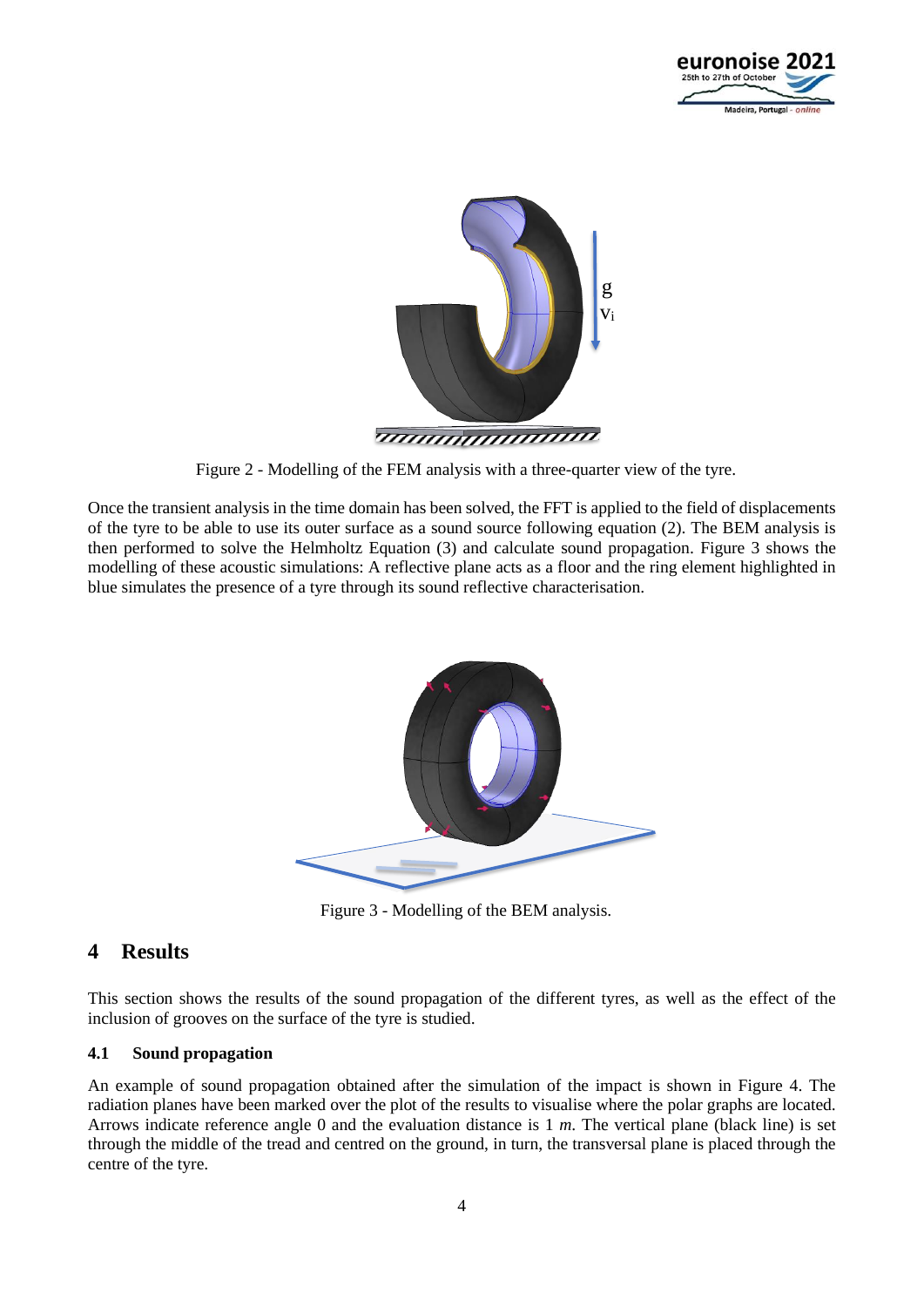



Figure 2 - Modelling of the FEM analysis with a three-quarter view of the tyre.

Once the transient analysis in the time domain has been solved, the FFT is applied to the field of displacements of the tyre to be able to use its outer surface as a sound source following equation (2). The BEM analysis is then performed to solve the Helmholtz Equation (3) and calculate sound propagation. Figure 3 shows the modelling of these acoustic simulations: A reflective plane acts as a floor and the ring element highlighted in blue simulates the presence of a tyre through its sound reflective characterisation.



Figure 3 - Modelling of the BEM analysis.

## **4 Results**

This section shows the results of the sound propagation of the different tyres, as well as the effect of the inclusion of grooves on the surface of the tyre is studied.

### **4.1 Sound propagation**

An example of sound propagation obtained after the simulation of the impact is shown in Figure 4. The radiation planes have been marked over the plot of the results to visualise where the polar graphs are located. Arrows indicate reference angle 0 and the evaluation distance is 1 *m*. The vertical plane (black line) is set through the middle of the tread and centred on the ground, in turn, the transversal plane is placed through the centre of the tyre.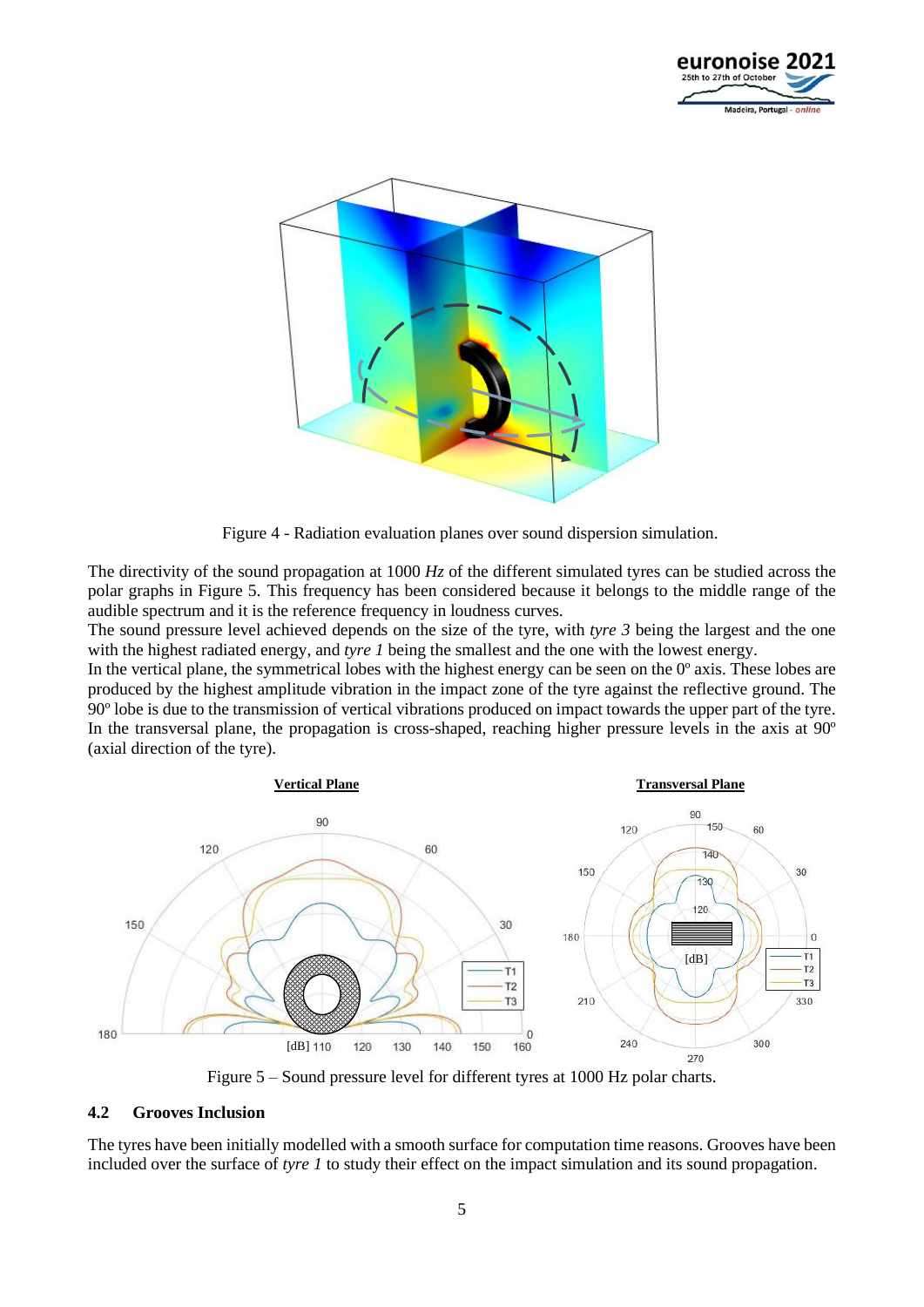



Figure 4 - Radiation evaluation planes over sound dispersion simulation.

The directivity of the sound propagation at 1000 *Hz* of the different simulated tyres can be studied across the polar graphs in Figure 5. This frequency has been considered because it belongs to the middle range of the audible spectrum and it is the reference frequency in loudness curves.

The sound pressure level achieved depends on the size of the tyre, with *tyre 3* being the largest and the one with the highest radiated energy, and *tyre 1* being the smallest and the one with the lowest energy.

In the vertical plane, the symmetrical lobes with the highest energy can be seen on the 0<sup>°</sup> axis. These lobes are produced by the highest amplitude vibration in the impact zone of the tyre against the reflective ground. The 90º lobe is due to the transmission of vertical vibrations produced on impact towards the upper part of the tyre. In the transversal plane, the propagation is cross-shaped, reaching higher pressure levels in the axis at 90º (axial direction of the tyre).



Figure 5 – Sound pressure level for different tyres at 1000 Hz polar charts.

#### **4.2 Grooves Inclusion**

The tyres have been initially modelled with a smooth surface for computation time reasons. Grooves have been included over the surface of *tyre 1* to study their effect on the impact simulation and its sound propagation.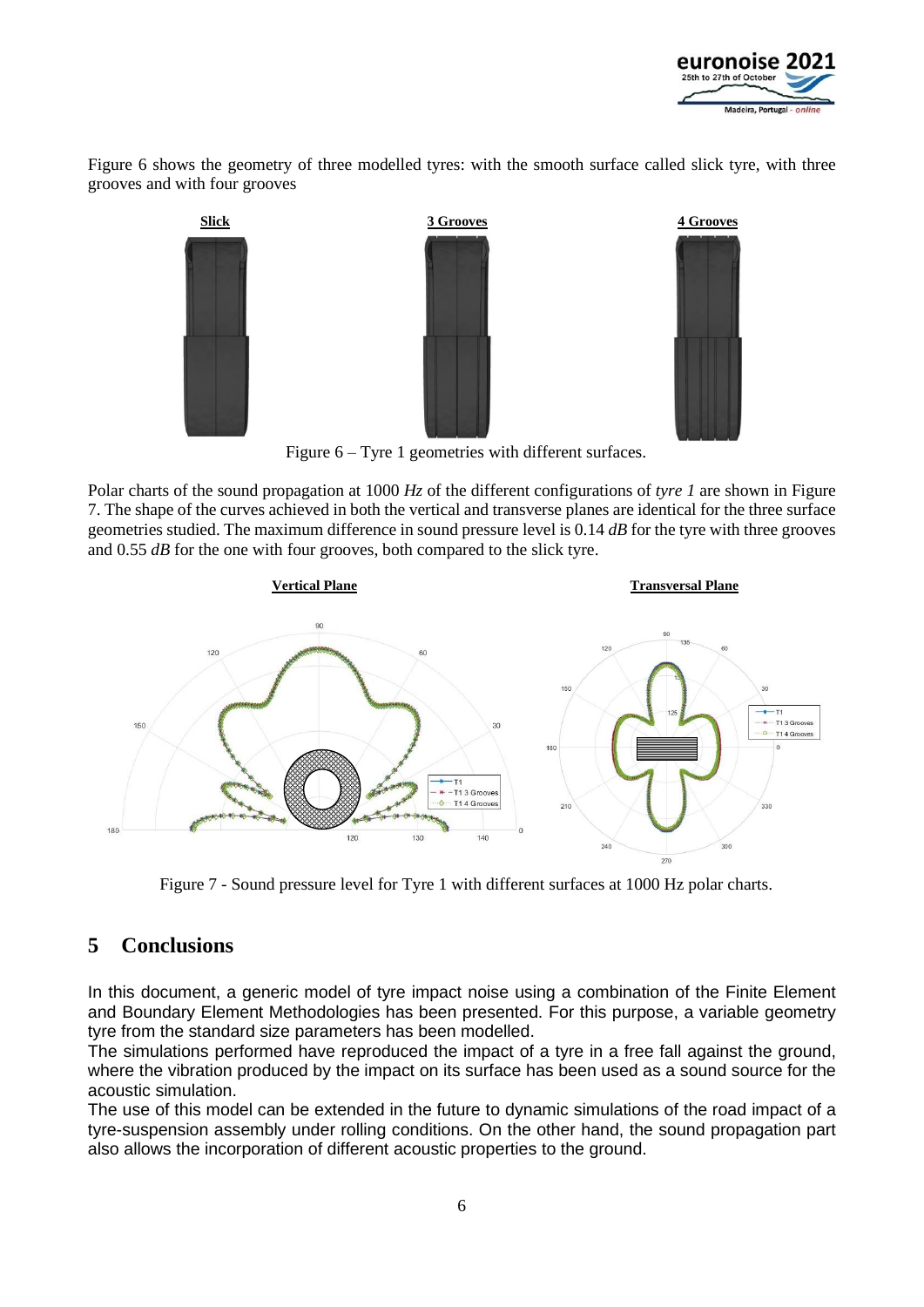

Figure 6 shows the geometry of three modelled tyres: with the smooth surface called slick tyre, with three grooves and with four grooves



Figure 6 – Tyre 1 geometries with different surfaces.

Polar charts of the sound propagation at 1000 *Hz* of the different configurations of *tyre 1* are shown in Figure 7. The shape of the curves achieved in both the vertical and transverse planes are identical for the three surface geometries studied. The maximum difference in sound pressure level is 0.14 *dB* for the tyre with three grooves and 0.55 *dB* for the one with four grooves, both compared to the slick tyre.



Figure 7 - Sound pressure level for Tyre 1 with different surfaces at 1000 Hz polar charts.

## **5 Conclusions**

In this document, a generic model of tyre impact noise using a combination of the Finite Element and Boundary Element Methodologies has been presented. For this purpose, a variable geometry tyre from the standard size parameters has been modelled.

The simulations performed have reproduced the impact of a tyre in a free fall against the ground, where the vibration produced by the impact on its surface has been used as a sound source for the acoustic simulation.

The use of this model can be extended in the future to dynamic simulations of the road impact of a tyre-suspension assembly under rolling conditions. On the other hand, the sound propagation part also allows the incorporation of different acoustic properties to the ground.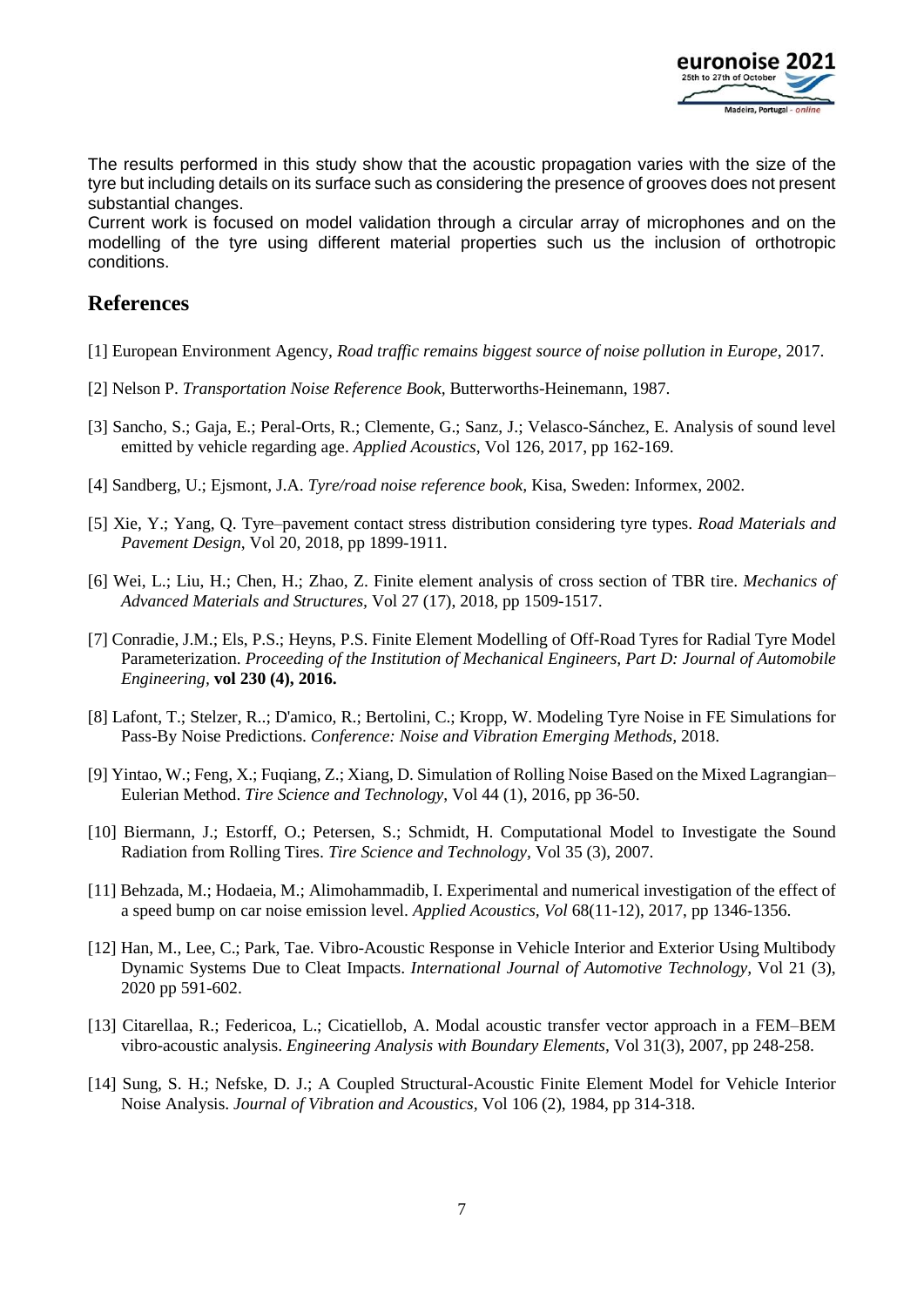

The results performed in this study show that the acoustic propagation varies with the size of the tyre but including details on its surface such as considering the presence of grooves does not present substantial changes.

Current work is focused on model validation through a circular array of microphones and on the modelling of the tyre using different material properties such us the inclusion of orthotropic conditions.

### **References**

- [1] European Environment Agency, *Road traffic remains biggest source of noise pollution in Europe*, 2017.
- [2] Nelson P. *Transportation Noise Reference Book,* Butterworths-Heinemann, 1987.
- [3] Sancho, S.; Gaja, E.; Peral-Orts, R.; Clemente, G.; Sanz, J.; Velasco-Sánchez, E. Analysis of sound level emitted by vehicle regarding age. *Applied Acoustics*, Vol 126, 2017, pp 162-169.
- [4] Sandberg, U.; Ejsmont, J.A. *Tyre/road noise reference book,* Kisa, Sweden: Informex, 2002.
- [5] Xie, Y.; Yang, Q. Tyre–pavement contact stress distribution considering tyre types. *Road Materials and Pavement Design*, Vol 20, 2018, pp 1899-1911.
- [6] Wei, L.; Liu, H.; Chen, H.; Zhao, Z. Finite element analysis of cross section of TBR tire. *Mechanics of Advanced Materials and Structures,* Vol 27 (17), 2018, pp 1509-1517.
- [7] Conradie, J.M.; Els, P.S.; Heyns, P.S. Finite Element Modelling of Off-Road Tyres for Radial Tyre Model Parameterization. *Proceeding of the Institution of Mechanical Engineers, Part D: Journal of Automobile Engineering,* **vol 230 (4), 2016.**
- [8] Lafont, T.; Stelzer, R..; D'amico, R.; Bertolini, C.; Kropp, W. Modeling Tyre Noise in FE Simulations for Pass-By Noise Predictions. *Conference: Noise and Vibration Emerging Methods,* 2018.
- [9] Yintao, W.; Feng, X.; Fuqiang, Z.; Xiang, D. Simulation of Rolling Noise Based on the Mixed Lagrangian– Eulerian Method. *Tire Science and Technology*, Vol 44 (1), 2016, pp 36-50.
- [10] Biermann, J.; Estorff, O.; Petersen, S.; Schmidt, H. Computational Model to Investigate the Sound Radiation from Rolling Tires. *Tire Science and Technology,* Vol 35 (3), 2007.
- [11] Behzada, M.; Hodaeia, M.; Alimohammadib, I. Experimental and numerical investigation of the effect of a speed bump on car noise emission level. *Applied Acoustics, Vol* 68(11-12), 2017, pp 1346-1356.
- [12] Han, M., Lee, C.; Park, Tae. Vibro-Acoustic Response in Vehicle Interior and Exterior Using Multibody Dynamic Systems Due to Cleat Impacts. *International Journal of Automotive Technology,* Vol 21 (3), 2020 pp 591-602.
- [13] Citarellaa, R.; Federicoa, L.; Cicatiellob, A. Modal acoustic transfer vector approach in a FEM–BEM vibro-acoustic analysis. *Engineering Analysis with Boundary Elements,* Vol 31(3), 2007, pp 248-258.
- [14] Sung, S. H.; Nefske, D. J.; A Coupled Structural-Acoustic Finite Element Model for Vehicle Interior Noise Analysis. *Journal of Vibration and Acoustics,* Vol 106 (2), 1984, pp 314-318.